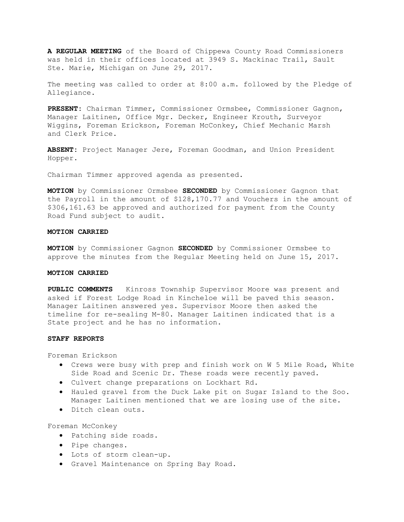**A REGULAR MEETING** of the Board of Chippewa County Road Commissioners was held in their offices located at 3949 S. Mackinac Trail, Sault Ste. Marie, Michigan on June 29, 2017.

The meeting was called to order at 8:00 a.m. followed by the Pledge of Allegiance.

**PRESENT:** Chairman Timmer, Commissioner Ormsbee, Commissioner Gagnon, Manager Laitinen, Office Mgr. Decker, Engineer Krouth, Surveyor Wiggins, Foreman Erickson, Foreman McConkey, Chief Mechanic Marsh and Clerk Price.

**ABSENT:** Project Manager Jere, Foreman Goodman, and Union President Hopper.

Chairman Timmer approved agenda as presented.

**MOTION** by Commissioner Ormsbee **SECONDED** by Commissioner Gagnon that the Payroll in the amount of \$128,170.77 and Vouchers in the amount of \$306,161.63 be approved and authorized for payment from the County Road Fund subject to audit.

# **MOTION CARRIED**

**MOTION** by Commissioner Gagnon **SECONDED** by Commissioner Ormsbee to approve the minutes from the Regular Meeting held on June 15, 2017.

#### **MOTION CARRIED**

**PUBLIC COMMENTS** Kinross Township Supervisor Moore was present and asked if Forest Lodge Road in Kincheloe will be paved this season. Manager Laitinen answered yes. Supervisor Moore then asked the timeline for re-sealing M-80. Manager Laitinen indicated that is a State project and he has no information.

## **STAFF REPORTS**

Foreman Erickson

- Crews were busy with prep and finish work on W 5 Mile Road, White Side Road and Scenic Dr. These roads were recently paved.
- Culvert change preparations on Lockhart Rd.
- Hauled gravel from the Duck Lake pit on Sugar Island to the Soo. Manager Laitinen mentioned that we are losing use of the site.
- Ditch clean outs.

Foreman McConkey

- Patching side roads.
- Pipe changes.
- Lots of storm clean-up.
- Gravel Maintenance on Spring Bay Road.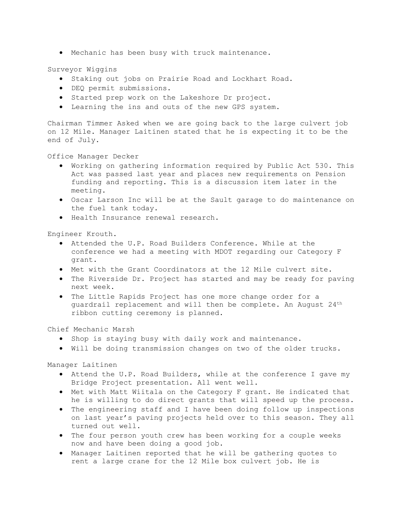• Mechanic has been busy with truck maintenance.

Surveyor Wiggins

- Staking out jobs on Prairie Road and Lockhart Road.
- DEQ permit submissions.
- Started prep work on the Lakeshore Dr project.
- Learning the ins and outs of the new GPS system.

Chairman Timmer Asked when we are going back to the large culvert job on 12 Mile. Manager Laitinen stated that he is expecting it to be the end of July.

Office Manager Decker

- Working on gathering information required by Public Act 530. This Act was passed last year and places new requirements on Pension funding and reporting. This is a discussion item later in the meeting.
- Oscar Larson Inc will be at the Sault garage to do maintenance on the fuel tank today.
- Health Insurance renewal research.

Engineer Krouth.

- Attended the U.P. Road Builders Conference. While at the conference we had a meeting with MDOT regarding our Category F grant.
- Met with the Grant Coordinators at the 12 Mile culvert site.
- The Riverside Dr. Project has started and may be ready for paving next week.
- The Little Rapids Project has one more change order for a guardrail replacement and will then be complete. An August 24<sup>th</sup> ribbon cutting ceremony is planned.

Chief Mechanic Marsh

- Shop is staying busy with daily work and maintenance.
- Will be doing transmission changes on two of the older trucks.

Manager Laitinen

- Attend the U.P. Road Builders, while at the conference I gave my Bridge Project presentation. All went well.
- Met with Matt Wiitala on the Category F grant. He indicated that he is willing to do direct grants that will speed up the process.
- The engineering staff and I have been doing follow up inspections on last year's paving projects held over to this season. They all turned out well.
- The four person youth crew has been working for a couple weeks now and have been doing a good job.
- Manager Laitinen reported that he will be gathering quotes to rent a large crane for the 12 Mile box culvert job. He is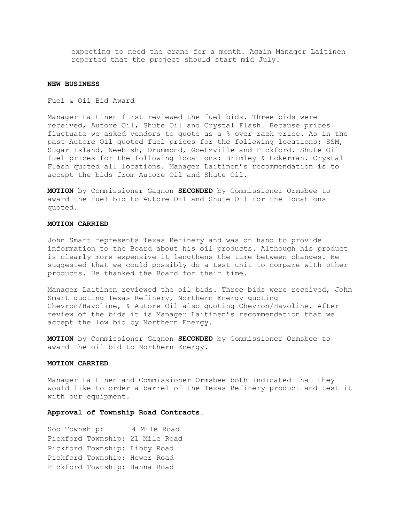expecting to need the crane for a month. Again Manager Laitinen reported that the project should start mid July.

## **NEW BUSINESS**

Fuel & Oil Bid Award

Manager Laitinen first reviewed the fuel bids. Three bids were received, Autore Oil, Shute Oil and Crystal Flash. Because prices fluctuate we asked vendors to quote as a % over rack price. As in the past Autore Oil quoted fuel prices for the following locations: SSM, Sugar Island, Neebish, Drummond, Goetzville and Pickford. Shute Oil fuel prices for the following locations: Brimley & Eckerman. Crystal Flash quoted all locations. Manager Laitinen's recommendation is to accept the bids from Autore Oil and Shute Oil.

**MOTION** by Commissioner Gagnon **SECONDED** by Commissioner Ormsbee to award the fuel bid to Autore Oil and Shute Oil for the locations quoted.

# **MOTION CARRIED**

John Smart represents Texas Refinery and was on hand to provide information to the Board about his oil products. Although his product is clearly more expensive it lengthens the time between changes. He suggested that we could possibly do a test unit to compare with other products. He thanked the Board for their time.

Manager Laitinen reviewed the oil bids. Three bids were received, John Smart quoting Texas Refinery, Northern Energy quoting Chevron/Havoline, & Autore Oil also quoting Chevron/Havoline. After review of the bids it is Manager Laitinen's recommendation that we accept the low bid by Northern Energy.

**MOTION** by Commissioner Gagnon **SECONDED** by Commissioner Ormsbee to award the oil bid to Northern Energy.

# **MOTION CARRIED**

Manager Laitinen and Commissioner Ormsbee both indicated that they would like to order a barrel of the Texas Refinery product and test it with our equipment.

# **Approval of Township Road Contracts**.

Soo Township: 4 Mile Road Pickford Township: 21 Mile Road Pickford Township: Libby Road Pickford Township: Hewer Road Pickford Township: Hanna Road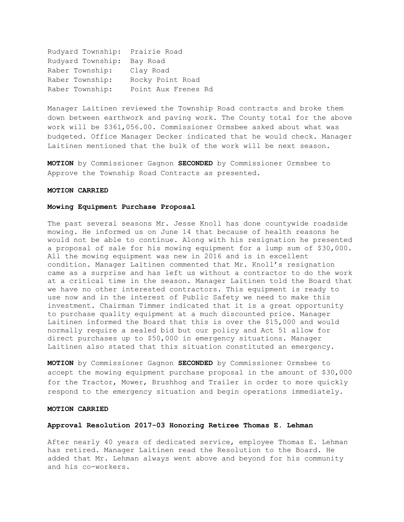Rudyard Township: Prairie Road Rudyard Township: Bay Road Raber Township: Clay Road Raber Township: Rocky Point Road Raber Township: Point Aux Frenes Rd

Manager Laitinen reviewed the Township Road contracts and broke them down between earthwork and paving work. The County total for the above work will be \$361,056.00. Commissioner Ormsbee asked about what was budgeted. Office Manager Decker indicated that he would check. Manager Laitinen mentioned that the bulk of the work will be next season.

**MOTION** by Commissioner Gagnon **SECONDED** by Commissioner Ormsbee to Approve the Township Road Contracts as presented.

# **MOTION CARRIED**

## **Mowing Equipment Purchase Proposal**

The past several seasons Mr. Jesse Knoll has done countywide roadside mowing. He informed us on June 14 that because of health reasons he would not be able to continue. Along with his resignation he presented a proposal of sale for his mowing equipment for a lump sum of \$30,000. All the mowing equipment was new in 2016 and is in excellent condition. Manager Laitinen commented that Mr. Knoll's resignation came as a surprise and has left us without a contractor to do the work at a critical time in the season. Manager Laitinen told the Board that we have no other interested contractors. This equipment is ready to use now and in the interest of Public Safety we need to make this investment. Chairman Timmer indicated that it is a great opportunity to purchase quality equipment at a much discounted price. Manager Laitinen informed the Board that this is over the \$15,000 and would normally require a sealed bid but our policy and Act 51 allow for direct purchases up to \$50,000 in emergency situations. Manager Laitinen also stated that this situation constituted an emergency.

**MOTION** by Commissioner Gagnon **SECONDED** by Commissioner Ormsbee to accept the mowing equipment purchase proposal in the amount of \$30,000 for the Tractor, Mower, Brushhog and Trailer in order to more quickly respond to the emergency situation and begin operations immediately.

# **MOTION CARRIED**

# **Approval Resolution 2017-03 Honoring Retiree Thomas E. Lehman**

After nearly 40 years of dedicated service, employee Thomas E. Lehman has retired. Manager Laitinen read the Resolution to the Board. He added that Mr. Lehman always went above and beyond for his community and his co-workers.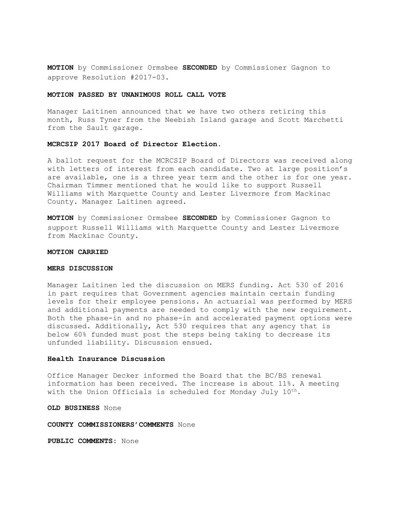**MOTION** by Commissioner Ormsbee **SECONDED** by Commissioner Gagnon to approve Resolution #2017-03.

## **MOTION PASSED BY UNANIMOUS ROLL CALL VOTE**

Manager Laitinen announced that we have two others retiring this month, Russ Tyner from the Neebish Island garage and Scott Marchetti from the Sault garage.

#### **MCRCSIP 2017 Board of Director Election.**

A ballot request for the MCRCSIP Board of Directors was received along with letters of interest from each candidate. Two at large position's are available, one is a three year term and the other is for one year. Chairman Timmer mentioned that he would like to support Russell Williams with Marquette County and Lester Livermore from Mackinac County. Manager Laitinen agreed.

**MOTION** by Commissioner Ormsbee **SECONDED** by Commissioner Gagnon to support Russell Williams with Marquette County and Lester Livermore from Mackinac County.

#### **MOTION CARRIED**

### **MERS DISCUSSION**

Manager Laitinen led the discussion on MERS funding. Act 530 of 2016 in part requires that Government agencies maintain certain funding levels for their employee pensions. An actuarial was performed by MERS and additional payments are needed to comply with the new requirement. Both the phase-in and no phase-in and accelerated payment options were discussed. Additionally, Act 530 requires that any agency that is below 60% funded must post the steps being taking to decrease its unfunded liability. Discussion ensued.

# **Health Insurance Discussion**

Office Manager Decker informed the Board that the BC/BS renewal information has been received. The increase is about 11%. A meeting with the Union Officials is scheduled for Monday July 10<sup>th</sup>.

**OLD BUSINESS** None

### **COUNTY COMMISSIONERS'COMMENTS** None

**PUBLIC COMMENTS:** None